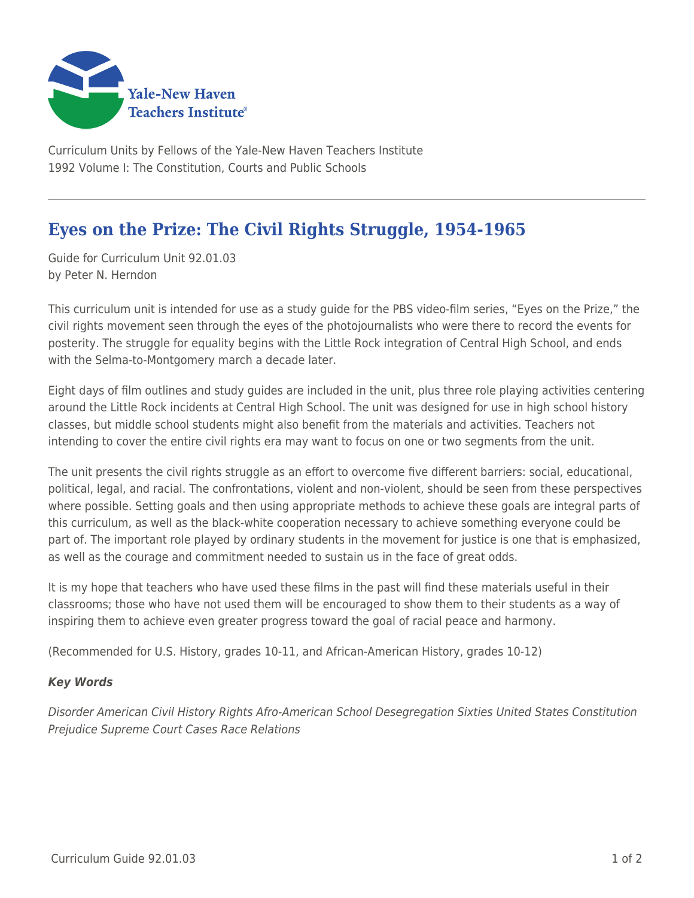

Curriculum Units by Fellows of the Yale-New Haven Teachers Institute 1992 Volume I: The Constitution, Courts and Public Schools

## **Eyes on the Prize: The Civil Rights Struggle, 1954-1965**

Guide for Curriculum Unit 92.01.03 by Peter N. Herndon

This curriculum unit is intended for use as a study guide for the PBS video-film series, "Eyes on the Prize," the civil rights movement seen through the eyes of the photojournalists who were there to record the events for posterity. The struggle for equality begins with the Little Rock integration of Central High School, and ends with the Selma-to-Montgomery march a decade later.

Eight days of film outlines and study guides are included in the unit, plus three role playing activities centering around the Little Rock incidents at Central High School. The unit was designed for use in high school history classes, but middle school students might also benefit from the materials and activities. Teachers not intending to cover the entire civil rights era may want to focus on one or two segments from the unit.

The unit presents the civil rights struggle as an effort to overcome five different barriers: social, educational, political, legal, and racial. The confrontations, violent and non-violent, should be seen from these perspectives where possible. Setting goals and then using appropriate methods to achieve these goals are integral parts of this curriculum, as well as the black-white cooperation necessary to achieve something everyone could be part of. The important role played by ordinary students in the movement for justice is one that is emphasized, as well as the courage and commitment needed to sustain us in the face of great odds.

It is my hope that teachers who have used these films in the past will find these materials useful in their classrooms; those who have not used them will be encouraged to show them to their students as a way of inspiring them to achieve even greater progress toward the goal of racial peace and harmony.

(Recommended for U.S. History, grades 10-11, and African-American History, grades 10-12)

## *Key Words*

Disorder American Civil History Rights Afro-American School Desegregation Sixties United States Constitution Prejudice Supreme Court Cases Race Relations